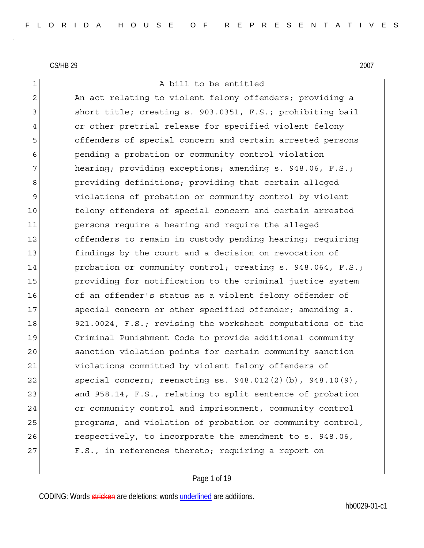1 a bill to be entitled

2 An act relating to violent felony offenders; providing a 3 3 short title; creating s. 903.0351, F.S.; prohibiting bail 4 or other pretrial release for specified violent felony 5 offenders of special concern and certain arrested persons 6 pending a probation or community control violation 7 hearing; providing exceptions; amending s. 948.06, F.S.; 8 **providing definitions; providing that certain alleged** 9 violations of probation or community control by violent 10 felony offenders of special concern and certain arrested 11 persons require a hearing and require the alleged 12 offenders to remain in custody pending hearing; requiring 13 findings by the court and a decision on revocation of 14 probation or community control; creating s. 948.064, F.S.; 15 **providing for notification to the criminal justice system** 16 of an offender's status as a violent felony offender of 17 Special concern or other specified offender; amending s. 18 921.0024, F.S.; revising the worksheet computations of the 19 Criminal Punishment Code to provide additional community 20 sanction violation points for certain community sanction 21 violations committed by violent felony offenders of 22 special concern; reenacting ss. 948.012(2)(b), 948.10(9), 23 and 958.14, F.S., relating to split sentence of probation 24 or community control and imprisonment, community control 25 programs, and violation of probation or community control, 26 respectively, to incorporate the amendment to s. 948.06, 27 F.S., in references thereto; requiring a report on

### Page 1 of 19

CODING: Words stricken are deletions; words underlined are additions.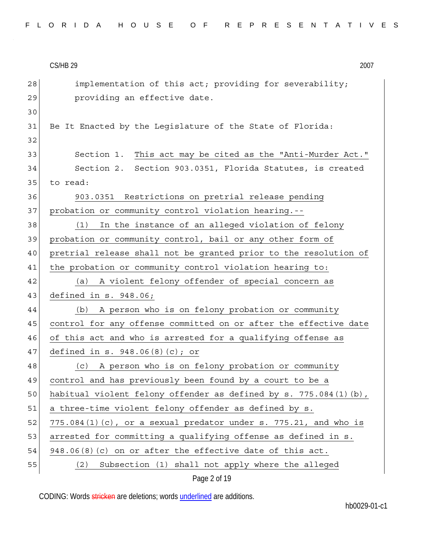$CS/HB$  29  $2007$ Page 2 of 19  $28$  implementation of this act; providing for severability; 29 **providing an effective date.** 30 31 Be It Enacted by the Legislature of the State of Florida: 32 33 Section 1. This act may be cited as the "Anti-Murder Act." 34 Section 2. Section 903.0351, Florida Statutes, is created 35 to read: 36 903.0351 Restrictions on pretrial release pending 37 probation or community control violation hearing.--38 (1) In the instance of an alleged violation of felony 39 probation or community control, bail or any other form of 40 pretrial release shall not be granted prior to the resolution of 41 the probation or community control violation hearing to: 42 (a) A violent felony offender of special concern as 43 defined in s. 948.06; 44 (b) A person who is on felony probation or community 45 control for any offense committed on or after the effective date 46 of this act and who is arrested for a qualifying offense as 47 defined in s. 948.06(8)(c); or 48 (c) A person who is on felony probation or community 49 control and has previously been found by a court to be a 50 habitual violent felony offender as defined by s. 775.084(1)(b), 51 a three-time violent felony offender as defined by s. 52  $775.084(1)(c)$ , or a sexual predator under s. 775.21, and who is 53 arrested for committing a qualifying offense as defined in s. 54 948.06 $(8)$  (c) on or after the effective date of this act. 55 (2) Subsection (1) shall not apply where the alleged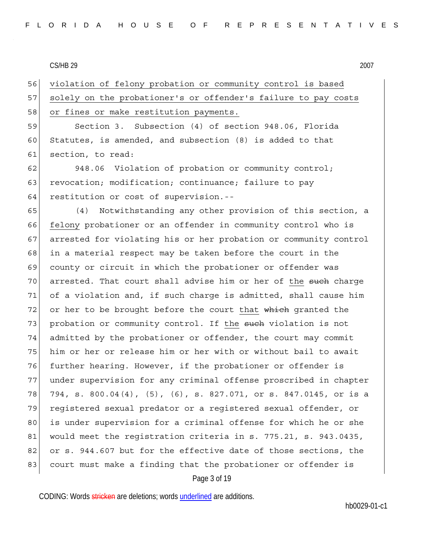56 violation of felony probation or community control is based 57 solely on the probationer's or offender's failure to pay costs 58 or fines or make restitution payments.

59 Section 3. Subsection (4) of section 948.06, Florida 60 Statutes, is amended, and subsection (8) is added to that 61 section, to read:

62 948.06 Violation of probation or community control; 63 revocation; modification; continuance; failure to pay 64 restitution or cost of supervision.--

Page 3 of 19 65 (4) Notwithstanding any other provision of this section, a 66 felony probationer or an offender in community control who is 67 arrested for violating his or her probation or community control 68 in a material respect may be taken before the court in the 69 county or circuit in which the probationer or offender was 70 arrested. That court shall advise him or her of the <del>such</del> charge 71 of a violation and, if such charge is admitted, shall cause him 72 or her to be brought before the court that  $\frac{1}{2}$  which granted the 73 probation or community control. If the such violation is not 74 admitted by the probationer or offender, the court may commit 75 him or her or release him or her with or without bail to await 76 further hearing. However, if the probationer or offender is 77 under supervision for any criminal offense proscribed in chapter 78 794, s. 800.04(4), (5), (6), s. 827.071, or s. 847.0145, or is a 79 registered sexual predator or a registered sexual offender, or 80 is under supervision for a criminal offense for which he or she 81 would meet the registration criteria in s. 775.21, s. 943.0435, 82 or s. 944.607 but for the effective date of those sections, the 83 court must make a finding that the probationer or offender is

CODING: Words stricken are deletions; words underlined are additions.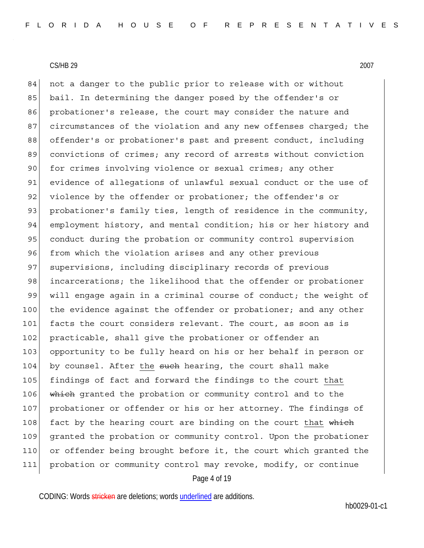Page 4 of 19 84 not a danger to the public prior to release with or without 85 bail. In determining the danger posed by the offender's or 86 probationer's release, the court may consider the nature and 87 circumstances of the violation and any new offenses charged; the 88 offender's or probationer's past and present conduct, including 89 convictions of crimes; any record of arrests without conviction 90 for crimes involving violence or sexual crimes; any other 91 evidence of allegations of unlawful sexual conduct or the use of 92 violence by the offender or probationer; the offender's or 93 probationer's family ties, length of residence in the community, 94 employment history, and mental condition; his or her history and 95 conduct during the probation or community control supervision 96 from which the violation arises and any other previous 97 supervisions, including disciplinary records of previous 98 incarcerations; the likelihood that the offender or probationer 99 will engage again in a criminal course of conduct; the weight of 100 the evidence against the offender or probationer; and any other 101 facts the court considers relevant. The court, as soon as is 102 practicable, shall give the probationer or offender an 103 opportunity to be fully heard on his or her behalf in person or 104 by counsel. After the such hearing, the court shall make 105 findings of fact and forward the findings to the court that 106 which granted the probation or community control and to the 107 probationer or offender or his or her attorney. The findings of 108 fact by the hearing court are binding on the court that which 109 granted the probation or community control. Upon the probationer 110 or offender being brought before it, the court which granted the 111 probation or community control may revoke, modify, or continue

CODING: Words stricken are deletions; words underlined are additions.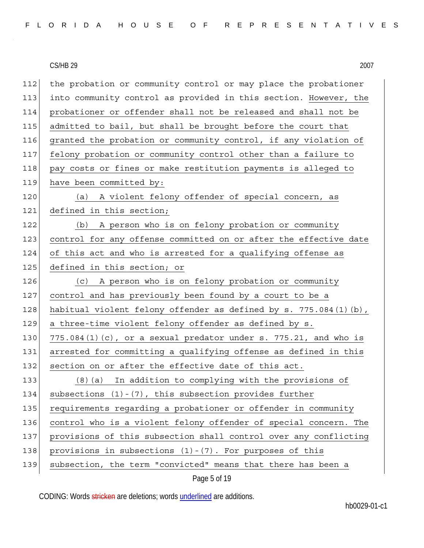| 112 | the probation or community control or may place the probationer    |
|-----|--------------------------------------------------------------------|
| 113 | into community control as provided in this section. However, the   |
| 114 | probationer or offender shall not be released and shall not be     |
| 115 | admitted to bail, but shall be brought before the court that       |
| 116 | granted the probation or community control, if any violation of    |
| 117 | felony probation or community control other than a failure to      |
| 118 | pay costs or fines or make restitution payments is alleged to      |
| 119 | have been committed by:                                            |
| 120 | (a) A violent felony offender of special concern, as               |
| 121 | defined in this section;                                           |
| 122 | A person who is on felony probation or community<br>(b)            |
| 123 | control for any offense committed on or after the effective date   |
| 124 | of this act and who is arrested for a qualifying offense as        |
| 125 | defined in this section; or                                        |
| 126 | (c) A person who is on felony probation or community               |
| 127 | control and has previously been found by a court to be a           |
| 128 | habitual violent felony offender as defined by s. 775.084(1)(b),   |
| 129 | a three-time violent felony offender as defined by s.              |
| 130 | $775.084(1)(c)$ , or a sexual predator under s. 775.21, and who is |
| 131 | arrested for committing a qualifying offense as defined in this    |
| 132 | section on or after the effective date of this act.                |
| 133 | (8) (a) In addition to complying with the provisions of            |
| 134 | subsections $(1) - (7)$ , this subsection provides further         |
| 135 | requirements regarding a probationer or offender in community      |
| 136 | control who is a violent felony offender of special concern. The   |
| 137 | provisions of this subsection shall control over any conflicting   |
| 138 | provisions in subsections $(1) - (7)$ . For purposes of this       |
| 139 | subsection, the term "convicted" means that there has been a       |

Page 5 of 19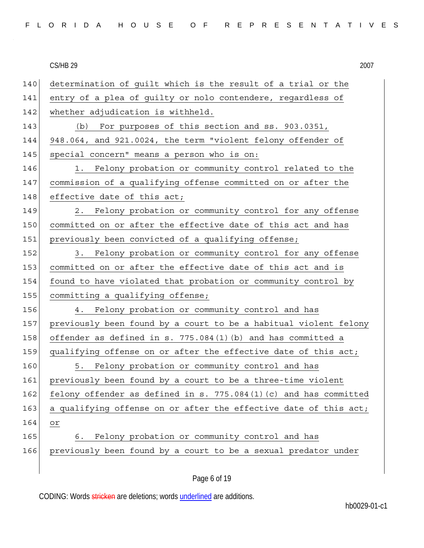|  |  |  |  |  |  |  |  |  |  | FLORIDA HOUSE OF REPRESENTATIVES |  |  |  |  |  |  |  |  |  |  |  |  |  |  |  |  |
|--|--|--|--|--|--|--|--|--|--|----------------------------------|--|--|--|--|--|--|--|--|--|--|--|--|--|--|--|--|
|--|--|--|--|--|--|--|--|--|--|----------------------------------|--|--|--|--|--|--|--|--|--|--|--|--|--|--|--|--|

140 determination of guilt which is the result of a trial or the 141 entry of a plea of guilty or nolo contendere, regardless of 142 whether adjudication is withheld. 143 (b) For purposes of this section and ss. 903.0351, 144 948.064, and 921.0024, the term "violent felony offender of 145 special concern" means a person who is on: 146 1. Felony probation or community control related to the 147 commission of a qualifying offense committed on or after the 148 effective date of this act; 149 2. Felony probation or community control for any offense 150 committed on or after the effective date of this act and has 151 previously been convicted of a qualifying offense; 152 3. Felony probation or community control for any offense 153 committed on or after the effective date of this act and is 154 found to have violated that probation or community control by 155 committing a qualifying offense; 156 4. Felony probation or community control and has 157 previously been found by a court to be a habitual violent felony 158 offender as defined in s. 775.084(1)(b) and has committed a 159 qualifying offense on or after the effective date of this act; 160 5. Felony probation or community control and has 161 previously been found by a court to be a three-time violent 162 felony offender as defined in s. 775.084(1)(c) and has committed 163 a qualifying offense on or after the effective date of this act; 164 or 165 6. Felony probation or community control and has 166 previously been found by a court to be a sexual predator under

CODING: Words stricken are deletions; words underlined are additions.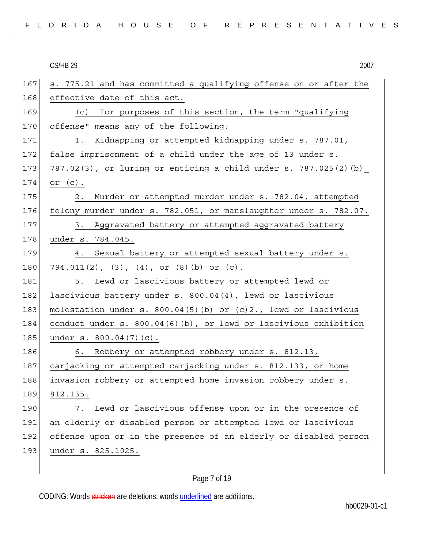|  |  |  |  |  |  |  |  |  |  | FLORIDA HOUSE OF REPRESENTATIVES |  |  |  |  |  |  |  |  |  |  |  |  |  |  |  |  |
|--|--|--|--|--|--|--|--|--|--|----------------------------------|--|--|--|--|--|--|--|--|--|--|--|--|--|--|--|--|
|--|--|--|--|--|--|--|--|--|--|----------------------------------|--|--|--|--|--|--|--|--|--|--|--|--|--|--|--|--|

**CS/HB 29**  $CS/HB$  29  $2007$ 

| 167 | s. 775.21 and has committed a qualifying offense on or after the |
|-----|------------------------------------------------------------------|
| 168 | effective date of this act.                                      |
| 169 | (c) For purposes of this section, the term "qualifying           |
| 170 | offense" means any of the following:                             |
| 171 | Kidnapping or attempted kidnapping under s. 787.01,<br>$1$ .     |
| 172 | false imprisonment of a child under the age of 13 under s.       |
| 173 | 787.02(3), or luring or enticing a child under s. 787.025(2) (b) |
| 174 | or $(c)$ .                                                       |
| 175 | 2. Murder or attempted murder under s. 782.04, attempted         |
| 176 | felony murder under s. 782.051, or manslaughter under s. 782.07. |
| 177 | 3. Aggravated battery or attempted aggravated battery            |
| 178 | under s. 784.045.                                                |
| 179 | 4. Sexual battery or attempted sexual battery under s.           |
| 180 | $794.011(2)$ , $(3)$ , $(4)$ , or $(8)$ (b) or $(c)$ .           |
| 181 | Lewd or lascivious battery or attempted lewd or<br>5.            |
| 182 | lascivious battery under s. 800.04(4), lewd or lascivious        |
| 183 | molestation under s. 800.04(5)(b) or (c)2., lewd or lascivious   |
| 184 | conduct under s. 800.04(6)(b), or lewd or lascivious exhibition  |
| 185 | under s. 800.04(7)(c).                                           |
| 186 | 6. Robbery or attempted robbery under s. 812.13,                 |
| 187 | carjacking or attempted carjacking under s. 812.133, or home     |
| 188 | invasion robbery or attempted home invasion robbery under s.     |
| 189 | 812.135.                                                         |
| 190 | Lewd or lascivious offense upon or in the presence of<br>7.      |
| 191 | an elderly or disabled person or attempted lewd or lascivious    |
| 192 | offense upon or in the presence of an elderly or disabled person |
| 193 | under s. 825.1025.                                               |
|     |                                                                  |

# Page 7 of 19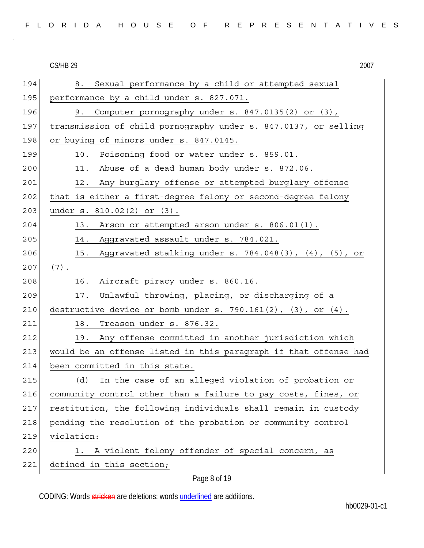| FLORIDA HOUSE OF REPRESENTATIVES |
|----------------------------------|
|----------------------------------|

**CS/HB 29**  $CS/HB$  29  $2007$ 

| 194 | Sexual performance by a child or attempted sexual<br>8.               |
|-----|-----------------------------------------------------------------------|
| 195 | performance by a child under s. 827.071.                              |
| 196 | Computer pornography under s. 847.0135(2) or (3),<br>9.               |
| 197 | transmission of child pornography under s. 847.0137, or selling       |
| 198 | or buying of minors under s. 847.0145.                                |
| 199 | Poisoning food or water under s. 859.01.<br>10.                       |
| 200 | Abuse of a dead human body under s. 872.06.<br>11.                    |
| 201 | Any burglary offense or attempted burglary offense<br>12.             |
| 202 | that is either a first-degree felony or second-degree felony          |
| 203 | under s. 810.02(2) or (3).                                            |
| 204 | Arson or attempted arson under s. 806.01(1).<br>13.                   |
| 205 | Aggravated assault under s. 784.021.<br>14.                           |
| 206 | Aggravated stalking under s. 784.048(3), (4), (5), or<br>15.          |
| 207 | $(7)$ .                                                               |
| 208 | Aircraft piracy under s. 860.16.<br>16.                               |
| 209 | Unlawful throwing, placing, or discharging of a<br>17.                |
| 210 | destructive device or bomb under $s. 790.161(2)$ , $(3)$ , or $(4)$ . |
| 211 | Treason under s. 876.32.<br>18.                                       |
| 212 | Any offense committed in another jurisdiction which<br>19.            |
| 213 | would be an offense listed in this paragraph if that offense had      |
| 214 | been committed in this state.                                         |
| 215 | In the case of an alleged violation of probation or<br>(d)            |
| 216 | community control other than a failure to pay costs, fines, or        |
| 217 | restitution, the following individuals shall remain in custody        |
| 218 | pending the resolution of the probation or community control          |
| 219 | violation:                                                            |
| 220 | A violent felony offender of special concern, as<br>1.                |
| 221 | defined in this section;                                              |

Page 8 of 19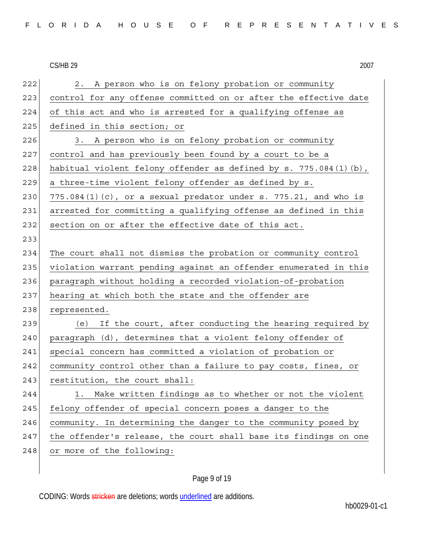222 2. A person who is on felony probation or community 223 control for any offense committed on or after the effective date 224 of this act and who is arrested for a qualifying offense as 225 defined in this section; or 226 3. A person who is on felony probation or community 227 control and has previously been found by a court to be a 228 habitual violent felony offender as defined by  $s. 775.084(1)(b)$ , 229 a three-time violent felony offender as defined by s. 230 775.084(1)(c), or a sexual predator under s. 775.21, and who is 231 arrested for committing a qualifying offense as defined in this 232 section on or after the effective date of this act. 233 234 The court shall not dismiss the probation or community control 235 violation warrant pending against an offender enumerated in this 236 paragraph without holding a recorded violation-of-probation 237 hearing at which both the state and the offender are 238 represented. 239 (e) If the court, after conducting the hearing required by 240 paragraph (d), determines that a violent felony offender of 241 special concern has committed a violation of probation or 242 community control other than a failure to pay costs, fines, or 243 restitution, the court shall: 244 1. Make written findings as to whether or not the violent 245 felony offender of special concern poses a danger to the 246 community. In determining the danger to the community posed by 247 the offender's release, the court shall base its findings on one 248 or more of the following:

### Page 9 of 19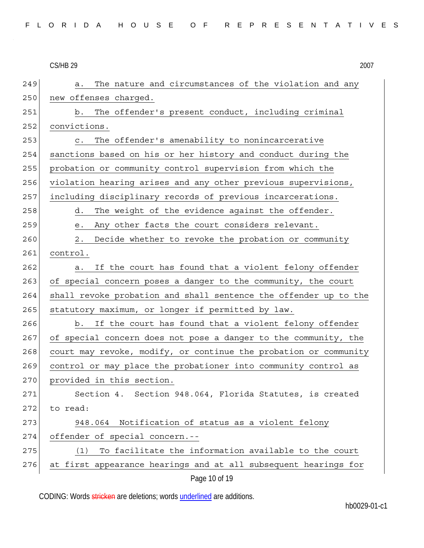|     | <b>CS/HB 29</b><br>2007                                          |
|-----|------------------------------------------------------------------|
| 249 | The nature and circumstances of the violation and any<br>a.      |
| 250 | new offenses charged.                                            |
| 251 | The offender's present conduct, including criminal<br>b.         |
| 252 | convictions.                                                     |
| 253 | The offender's amenability to nonincarcerative<br>$\mathtt{C}$ . |
| 254 | sanctions based on his or her history and conduct during the     |
| 255 | probation or community control supervision from which the        |
| 256 | violation hearing arises and any other previous supervisions,    |
| 257 | including disciplinary records of previous incarcerations.       |
| 258 | d.<br>The weight of the evidence against the offender.           |
| 259 | Any other facts the court considers relevant.<br>е.              |
| 260 | Decide whether to revoke the probation or community<br>2.        |
| 261 | control.                                                         |
| 262 | If the court has found that a violent felony offender<br>a.      |
| 263 | of special concern poses a danger to the community, the court    |
| 264 | shall revoke probation and shall sentence the offender up to the |
| 265 | statutory maximum, or longer if permitted by law.                |
| 266 | If the court has found that a violent felony offender<br>b.      |
| 267 | of special concern does not pose a danger to the community, the  |
| 268 | court may revoke, modify, or continue the probation or community |
| 269 | control or may place the probationer into community control as   |
| 270 | provided in this section.                                        |
| 271 | Section 4. Section 948.064, Florida Statutes, is created         |
| 272 | to read:                                                         |
| 273 | Notification of status as a violent felony<br>948.064            |
| 274 | offender of special concern.--                                   |
| 275 | To facilitate the information available to the court<br>(1)      |
| 276 | at first appearance hearings and at all subsequent hearings for  |
|     | Page 10 of 19                                                    |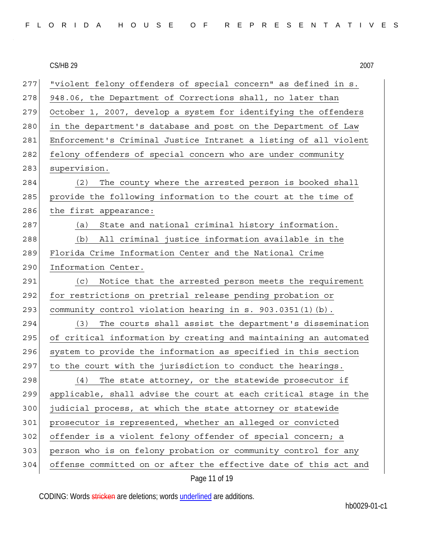| FLORIDA HOUSE OF REPRESENTATIVES |  |  |  |  |  |  |  |  |  |  |  |  |  |  |  |  |  |  |  |  |  |  |  |  |  |  |
|----------------------------------|--|--|--|--|--|--|--|--|--|--|--|--|--|--|--|--|--|--|--|--|--|--|--|--|--|--|
|----------------------------------|--|--|--|--|--|--|--|--|--|--|--|--|--|--|--|--|--|--|--|--|--|--|--|--|--|--|

**CS/HB 29** 

|     | <b>CS/HB 29</b><br>2007                                          |
|-----|------------------------------------------------------------------|
| 277 | "violent felony offenders of special concern" as defined in s.   |
| 278 | 948.06, the Department of Corrections shall, no later than       |
| 279 | October 1, 2007, develop a system for identifying the offenders  |
| 280 | in the department's database and post on the Department of Law   |
| 281 | Enforcement's Criminal Justice Intranet a listing of all violent |
| 282 | felony offenders of special concern who are under community      |
| 283 | supervision.                                                     |
| 284 | The county where the arrested person is booked shall<br>(2)      |
| 285 | provide the following information to the court at the time of    |
| 286 | the first appearance:                                            |
| 287 | State and national criminal history information.<br>(a)          |
| 288 | All criminal justice information available in the<br>(b)         |
| 289 | Florida Crime Information Center and the National Crime          |
| 290 | Information Center.                                              |
| 291 | Notice that the arrested person meets the requirement<br>(C)     |
| 292 | for restrictions on pretrial release pending probation or        |
| 293 | community control violation hearing in s. 903.0351(1)(b).        |
| 294 | (3)<br>The courts shall assist the department's dissemination    |
| 295 | of critical information by creating and maintaining an automated |
| 296 | system to provide the information as specified in this section   |
| 297 | to the court with the jurisdiction to conduct the hearings.      |
| 298 | The state attorney, or the statewide prosecutor if<br>(4)        |
| 299 | applicable, shall advise the court at each critical stage in the |
| 300 | judicial process, at which the state attorney or statewide       |
| 301 | prosecutor is represented, whether an alleged or convicted       |
| 302 | offender is a violent felony offender of special concern; a      |
| 303 | person who is on felony probation or community control for any   |
| 304 | offense committed on or after the effective date of this act and |
|     | Page 11 of 19                                                    |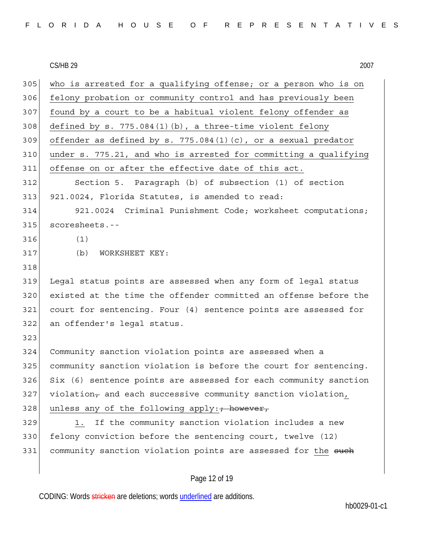| FLORIDA HOUSE OF REPRESENTATIVES |  |  |  |  |  |  |  |  |  |  |  |  |  |  |  |  |  |  |  |  |  |  |  |  |  |  |
|----------------------------------|--|--|--|--|--|--|--|--|--|--|--|--|--|--|--|--|--|--|--|--|--|--|--|--|--|--|
|----------------------------------|--|--|--|--|--|--|--|--|--|--|--|--|--|--|--|--|--|--|--|--|--|--|--|--|--|--|

**CS/HB 29** 

|     | CS/HB 29<br>2007                                                 |
|-----|------------------------------------------------------------------|
| 305 | who is arrested for a qualifying offense; or a person who is on  |
| 306 | felony probation or community control and has previously been    |
| 307 | found by a court to be a habitual violent felony offender as     |
| 308 | defined by s. $775.084(1)(b)$ , a three-time violent felony      |
| 309 | offender as defined by s. $775.084(1)(c)$ , or a sexual predator |
| 310 | under s. 775.21, and who is arrested for committing a qualifying |
| 311 | offense on or after the effective date of this act.              |
| 312 | Section 5. Paragraph (b) of subsection (1) of section            |
| 313 | 921.0024, Florida Statutes, is amended to read:                  |
| 314 | 921.0024 Criminal Punishment Code; worksheet computations;       |
| 315 | scoresheets.--                                                   |
| 316 | (1)                                                              |
| 317 | (b)<br>WORKSHEET KEY:                                            |
| 318 |                                                                  |
| 319 | Legal status points are assessed when any form of legal status   |
| 320 | existed at the time the offender committed an offense before the |
| 321 | court for sentencing. Four (4) sentence points are assessed for  |
| 322 | an offender's legal status.                                      |
| 323 |                                                                  |
| 324 | Community sanction violation points are assessed when a          |
| 325 | community sanction violation is before the court for sentencing. |
| 326 | Six (6) sentence points are assessed for each community sanction |
| 327 | violation, and each successive community sanction violation,     |
| 328 | unless any of the following apply: + however,                    |
| 329 | If the community sanction violation includes a new<br>1.         |
| 330 | felony conviction before the sentencing court, twelve (12)       |
| 331 | community sanction violation points are assessed for the such    |
|     |                                                                  |
|     |                                                                  |

# Page 12 of 19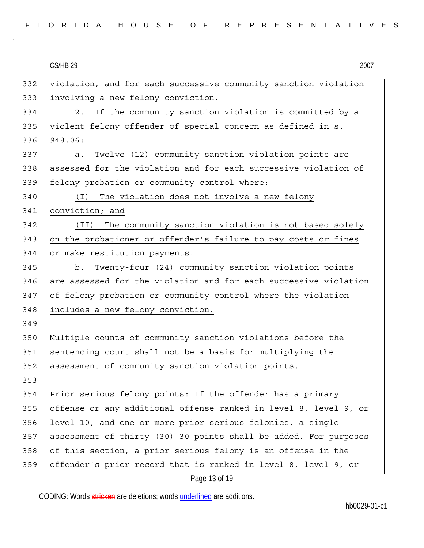| <b>CS/HB 29</b> |  |  |  |
|-----------------|--|--|--|
|-----------------|--|--|--|

|     | <b>CS/HB 29</b><br>2007                                                     |
|-----|-----------------------------------------------------------------------------|
| 332 | violation, and for each successive community sanction violation             |
| 333 | involving a new felony conviction.                                          |
| 334 | If the community sanction violation is committed by a<br>2.                 |
| 335 | violent felony offender of special concern as defined in s.                 |
| 336 | 948.06:                                                                     |
| 337 | Twelve (12) community sanction violation points are<br>a.                   |
| 338 | assessed for the violation and for each successive violation of             |
| 339 | felony probation or community control where:                                |
| 340 | ( I )<br>The violation does not involve a new felony                        |
| 341 | conviction; and                                                             |
| 342 | The community sanction violation is not based solely<br>(II)                |
| 343 | on the probationer or offender's failure to pay costs or fines              |
| 344 | or make restitution payments.                                               |
| 345 | Twenty-four (24) community sanction violation points<br>b.                  |
| 346 | are assessed for the violation and for each successive violation            |
| 347 | of felony probation or community control where the violation                |
| 348 | includes a new felony conviction.                                           |
| 349 |                                                                             |
| 350 | Multiple counts of community sanction violations before the                 |
| 351 | sentencing court shall not be a basis for multiplying the                   |
| 352 | assessment of community sanction violation points.                          |
| 353 |                                                                             |
| 354 | Prior serious felony points: If the offender has a primary                  |
| 355 | offense or any additional offense ranked in level 8, level 9, or            |
| 356 | level 10, and one or more prior serious felonies, a single                  |
| 357 | assessment of thirty (30) <del>30</del> points shall be added. For purposes |
| 358 | of this section, a prior serious felony is an offense in the                |
| 359 | offender's prior record that is ranked in level 8, level 9, or              |
|     | Page 13 of 19                                                               |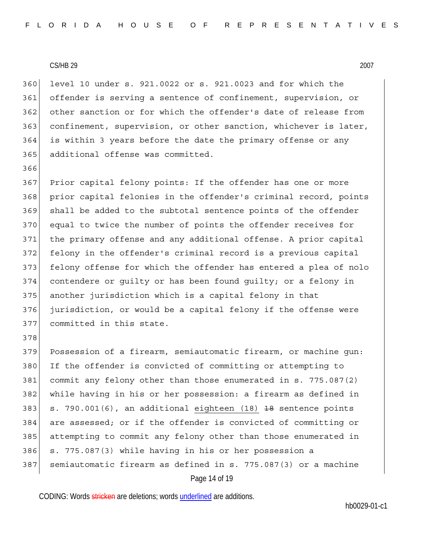360 level 10 under s. 921.0022 or s. 921.0023 and for which the 361 offender is serving a sentence of confinement, supervision, or 362 other sanction or for which the offender's date of release from 363 confinement, supervision, or other sanction, whichever is later, 364 is within 3 years before the date the primary offense or any 365 additional offense was committed.

366 367 Prior capital felony points: If the offender has one or more 368 prior capital felonies in the offender's criminal record, points 369 shall be added to the subtotal sentence points of the offender 370 equal to twice the number of points the offender receives for 371 the primary offense and any additional offense. A prior capital 372 felony in the offender's criminal record is a previous capital 373 felony offense for which the offender has entered a plea of nolo 374 contendere or guilty or has been found guilty; or a felony in 375 another jurisdiction which is a capital felony in that 376 jurisdiction, or would be a capital felony if the offense were 377 committed in this state. 378

379 Possession of a firearm, semiautomatic firearm, or machine gun: 380 If the offender is convicted of committing or attempting to 381 commit any felony other than those enumerated in s. 775.087(2) 382 while having in his or her possession: a firearm as defined in 383  $\vert$  s. 790.001(6), an additional eighteen (18)  $\vert$  38 sentence points 384 are assessed; or if the offender is convicted of committing or 385 attempting to commit any felony other than those enumerated in 386 s. 775.087(3) while having in his or her possession a 387 semiautomatic firearm as defined in s. 775.087(3) or a machine

```
Page 14 of 19
```
CODING: Words stricken are deletions; words underlined are additions.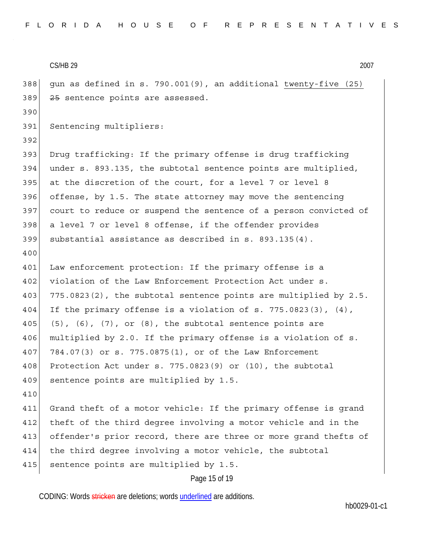$CS/HB$  29  $2007$ Page 15 of 19 388 gun as defined in s. 790.001(9), an additional twenty-five (25) 389 25 sentence points are assessed. 390 391 Sentencing multipliers: 392 393 Drug trafficking: If the primary offense is drug trafficking 394 under s. 893.135, the subtotal sentence points are multiplied, 395 at the discretion of the court, for a level 7 or level 8 396 offense, by 1.5. The state attorney may move the sentencing 397 court to reduce or suspend the sentence of a person convicted of 398 a level 7 or level 8 offense, if the offender provides 399 substantial assistance as described in s. 893.135(4). 400 401 Law enforcement protection: If the primary offense is a 402 violation of the Law Enforcement Protection Act under s. 403 775.0823(2), the subtotal sentence points are multiplied by 2.5. 404 If the primary offense is a violation of s. 775.0823(3),  $(4)$ , 405 (5), (6), (7), or (8), the subtotal sentence points are 406 multiplied by 2.0. If the primary offense is a violation of s. 407 784.07(3) or s. 775.0875(1), or of the Law Enforcement 408 Protection Act under s. 775.0823(9) or (10), the subtotal 409 sentence points are multiplied by 1.5. 410 411 Grand theft of a motor vehicle: If the primary offense is grand 412 theft of the third degree involving a motor vehicle and in the 413 offender's prior record, there are three or more grand thefts of 414 the third degree involving a motor vehicle, the subtotal 415 sentence points are multiplied by 1.5.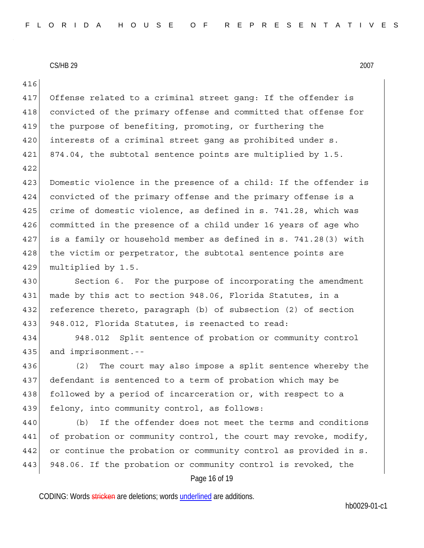Page 16 of 19 416 417 Offense related to a criminal street gang: If the offender is 418 convicted of the primary offense and committed that offense for 419 the purpose of benefiting, promoting, or furthering the 420 interests of a criminal street gang as prohibited under s. 421 874.04, the subtotal sentence points are multiplied by 1.5. 422 423 Domestic violence in the presence of a child: If the offender is 424 convicted of the primary offense and the primary offense is a 425 crime of domestic violence, as defined in s. 741.28, which was 426 committed in the presence of a child under 16 years of age who 427 is a family or household member as defined in s. 741.28(3) with 428 the victim or perpetrator, the subtotal sentence points are 429 multiplied by 1.5. 430 Section 6. For the purpose of incorporating the amendment 431 made by this act to section 948.06, Florida Statutes, in a 432 reference thereto, paragraph (b) of subsection (2) of section 433 948.012, Florida Statutes, is reenacted to read: 434 948.012 Split sentence of probation or community control 435 and imprisonment.-- 436 (2) The court may also impose a split sentence whereby the 437 defendant is sentenced to a term of probation which may be 438 followed by a period of incarceration or, with respect to a 439 felony, into community control, as follows: 440 (b) If the offender does not meet the terms and conditions 441 of probation or community control, the court may revoke, modify, 442 or continue the probation or community control as provided in s. 443 948.06. If the probation or community control is revoked, the

CODING: Words stricken are deletions; words underlined are additions.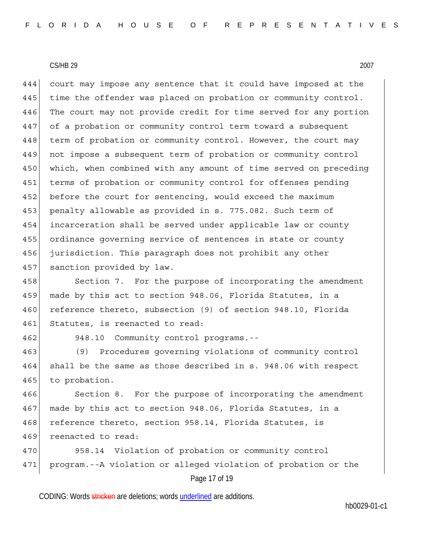444 court may impose any sentence that it could have imposed at the 445 time the offender was placed on probation or community control. 446 The court may not provide credit for time served for any portion 447 of a probation or community control term toward a subsequent 448 term of probation or community control. However, the court may 449 not impose a subsequent term of probation or community control 450 which, when combined with any amount of time served on preceding 451 terms of probation or community control for offenses pending 452 before the court for sentencing, would exceed the maximum 453 penalty allowable as provided in s. 775.082. Such term of 454 incarceration shall be served under applicable law or county 455 ordinance governing service of sentences in state or county 456 jurisdiction. This paragraph does not prohibit any other 457 sanction provided by law.

458 Section 7. For the purpose of incorporating the amendment 459 made by this act to section 948.06, Florida Statutes, in a 460 reference thereto, subsection (9) of section 948.10, Florida 461 Statutes, is reenacted to read:

462 948.10 Community control programs.--

463 (9) Procedures governing violations of community control 464 shall be the same as those described in s. 948.06 with respect 465 to probation.

466 Section 8. For the purpose of incorporating the amendment 467 made by this act to section 948.06, Florida Statutes, in a 468 reference thereto, section 958.14, Florida Statutes, is 469 reenacted to read:

Page 17 of 19 470 958.14 Violation of probation or community control 471 program.--A violation or alleged violation of probation or the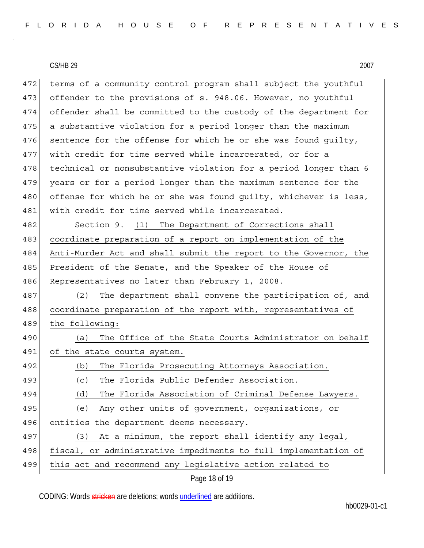472 terms of a community control program shall subject the youthful 473 offender to the provisions of s. 948.06. However, no youthful 474 offender shall be committed to the custody of the department for 475 a substantive violation for a period longer than the maximum 476 sentence for the offense for which he or she was found quilty, 477 with credit for time served while incarcerated, or for a 478 technical or nonsubstantive violation for a period longer than 6 479 years or for a period longer than the maximum sentence for the 480 offense for which he or she was found quilty, whichever is less, 481 with credit for time served while incarcerated.

482 Section 9. (1) The Department of Corrections shall 483 coordinate preparation of a report on implementation of the 484 Anti-Murder Act and shall submit the report to the Governor, the 485 President of the Senate, and the Speaker of the House of 486 Representatives no later than February 1, 2008.

487 (2) The department shall convene the participation of, and 488 coordinate preparation of the report with, representatives of 489 the following:

490 (a) The Office of the State Courts Administrator on behalf 491 of the state courts system.

- 493 (c) The Florida Public Defender Association.
- 494 (d) The Florida Association of Criminal Defense Lawyers.
- 495 (e) Any other units of government, organizations, or

496 entities the department deems necessary.

| 497 |         |  | (3) At a minimum, the report shall identify any legal                                                                                                                                                                          |  |  |  |  |
|-----|---------|--|--------------------------------------------------------------------------------------------------------------------------------------------------------------------------------------------------------------------------------|--|--|--|--|
|     | الصدمين |  | the second contract of the second contract of the second contract of the second contract of the second contract of the second contract of the second contract of the second contract of the second contract of the second cont |  |  |  |  |

498 fiscal, or administrative impediments to full implementation of

499 this act and recommend any legislative action related to

Page 18 of 19